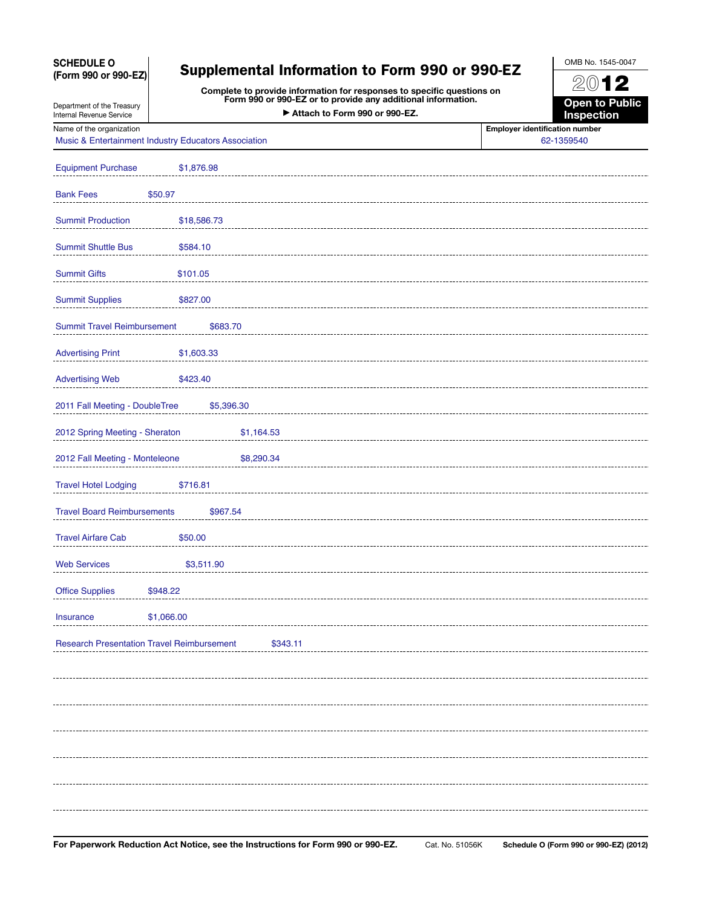## SCHEDULE O (Form 990 or 990-EZ)

Department of the Treasury

# Supplemental Information to Form 990 or 990-EZ

Complete to provide information for responses to specific questions on Form 990 or 990-EZ or to provide any additional information. Attach to Form 990 or 990-EZ.

2012 Open to Public

OMB No. 1545-0047

Inspection

Internal Revenue Service Name of the organization **Employer identification number** 

Music & Entertainment Industry Educators Association 62-1359540

| <b>Equipment Purchase</b>                                     | \$1,876.98  |  |  |
|---------------------------------------------------------------|-------------|--|--|
| <b>Bank Fees</b>                                              | \$50.97     |  |  |
| <b>Summit Production</b>                                      | \$18,586.73 |  |  |
| <b>Summit Shuttle Bus</b>                                     | \$584.10    |  |  |
| <b>Summit Gifts</b>                                           | \$101.05    |  |  |
| <b>Summit Supplies</b>                                        | \$827.00    |  |  |
| <b>Summit Travel Reimbursement</b>                            | \$683.70    |  |  |
| <b>Advertising Print</b>                                      | \$1,603.33  |  |  |
| <b>Advertising Web</b>                                        | \$423.40    |  |  |
| 2011 Fall Meeting - DoubleTree<br>\$5,396.30                  |             |  |  |
| 2012 Spring Meeting - Sheraton<br>\$1,164.53                  |             |  |  |
| 2012 Fall Meeting - Monteleone<br>\$8,290.34                  |             |  |  |
| <b>Travel Hotel Lodging</b>                                   | \$716.81    |  |  |
| <b>Travel Board Reimbursements</b><br>\$967.54                |             |  |  |
| <b>Travel Airfare Cab</b>                                     | \$50.00     |  |  |
| <b>Web Services</b>                                           | \$3,511.90  |  |  |
| <b>Office Supplies</b>                                        | \$948.22    |  |  |
| <b>Insurance</b>                                              | \$1,066.00  |  |  |
| <b>Research Presentation Travel Reimbursement</b><br>\$343.11 |             |  |  |
|                                                               |             |  |  |
|                                                               |             |  |  |
|                                                               |             |  |  |
|                                                               |             |  |  |
|                                                               |             |  |  |
|                                                               |             |  |  |
|                                                               |             |  |  |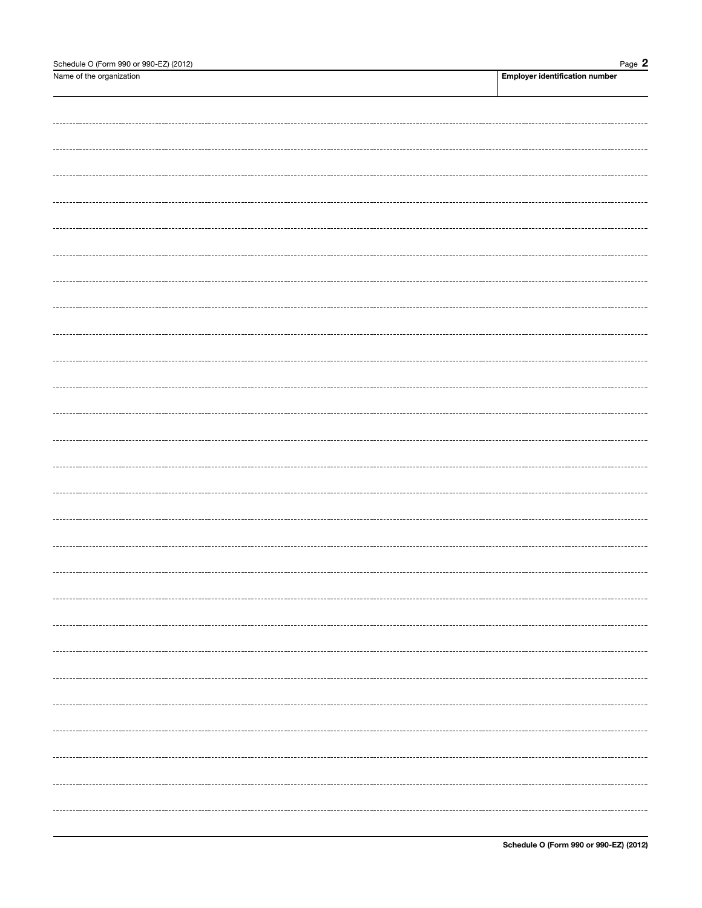| Schedule O (Form 990 or 990-EZ) (2012) | Page $2$                              |
|----------------------------------------|---------------------------------------|
| Name of the organization               | <b>Employer identification number</b> |
|                                        |                                       |
|                                        |                                       |
|                                        |                                       |
|                                        |                                       |
|                                        |                                       |
|                                        |                                       |
|                                        |                                       |
|                                        |                                       |
|                                        |                                       |
|                                        |                                       |
|                                        |                                       |
|                                        |                                       |
|                                        |                                       |
|                                        |                                       |
|                                        |                                       |
|                                        |                                       |
|                                        |                                       |
|                                        |                                       |
|                                        |                                       |
|                                        |                                       |
|                                        |                                       |
|                                        |                                       |
|                                        |                                       |
|                                        |                                       |
|                                        |                                       |
|                                        |                                       |
|                                        |                                       |
|                                        |                                       |
|                                        |                                       |
|                                        |                                       |
|                                        |                                       |
|                                        |                                       |
|                                        |                                       |
|                                        |                                       |
|                                        |                                       |
|                                        |                                       |
|                                        |                                       |
|                                        |                                       |
|                                        |                                       |
|                                        |                                       |
|                                        |                                       |
|                                        |                                       |
|                                        |                                       |
|                                        |                                       |
|                                        |                                       |
|                                        |                                       |
|                                        |                                       |
|                                        |                                       |
|                                        |                                       |
|                                        |                                       |
|                                        |                                       |
|                                        |                                       |
|                                        |                                       |